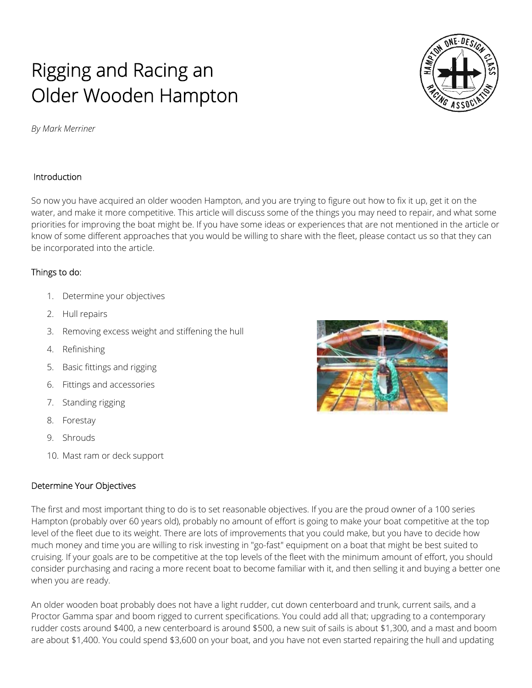# Rigging and Racing an Older Wooden Hampton

*By Mark Merriner* 

## Introduction

So now you have acquired an older wooden Hampton, and you are trying to figure out how to fix it up, get it on the water, and make it more competitive. This article will discuss some of the things you may need to repair, and what some priorities for improving the boat might be. If you have some ideas or experiences that are not mentioned in the article or know of some different approaches that you would be willing to share with the fleet, please contact us so that they can be incorporated into the article.

### Things to do:

- 1. Determine your objectives
- 2. Hull repairs
- 3. Removing excess weight and stiffening the hull
- 4. Refinishing
- 5. Basic fittings and rigging
- 6. Fittings and accessories
- 7. Standing rigging
- 8. Forestay
- 9. Shrouds
- 10. Mast ram or deck support

## Determine Your Objectives

The first and most important thing to do is to set reasonable objectives. If you are the proud owner of a 100 series Hampton (probably over 60 years old), probably no amount of effort is going to make your boat competitive at the top level of the fleet due to its weight. There are lots of improvements that you could make, but you have to decide how much money and time you are willing to risk investing in "go-fast" equipment on a boat that might be best suited to cruising. If your goals are to be competitive at the top levels of the fleet with the minimum amount of effort, you should consider purchasing and racing a more recent boat to become familiar with it, and then selling it and buying a better one when you are ready.

An older wooden boat probably does not have a light rudder, cut down centerboard and trunk, current sails, and a Proctor Gamma spar and boom rigged to current specifications. You could add all that; upgrading to a contemporary rudder costs around \$400, a new centerboard is around \$500, a new suit of sails is about \$1,300, and a mast and boom are about \$1,400. You could spend \$3,600 on your boat, and you have not even started repairing the hull and updating



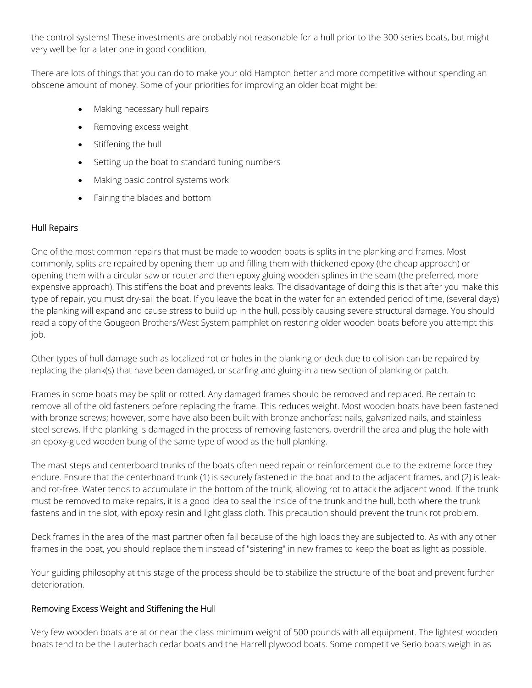the control systems! These investments are probably not reasonable for a hull prior to the 300 series boats, but might very well be for a later one in good condition.

There are lots of things that you can do to make your old Hampton better and more competitive without spending an obscene amount of money. Some of your priorities for improving an older boat might be:

- Making necessary hull repairs
- Removing excess weight
- Stiffening the hull
- Setting up the boat to standard tuning numbers
- Making basic control systems work
- Fairing the blades and bottom

#### Hull Repairs

One of the most common repairs that must be made to wooden boats is splits in the planking and frames. Most commonly, splits are repaired by opening them up and filling them with thickened epoxy (the cheap approach) or opening them with a circular saw or router and then epoxy gluing wooden splines in the seam (the preferred, more expensive approach). This stiffens the boat and prevents leaks. The disadvantage of doing this is that after you make this type of repair, you must dry-sail the boat. If you leave the boat in the water for an extended period of time, (several days) the planking will expand and cause stress to build up in the hull, possibly causing severe structural damage. You should read a copy of the Gougeon Brothers/West System pamphlet on restoring older wooden boats before you attempt this job.

Other types of hull damage such as localized rot or holes in the planking or deck due to collision can be repaired by replacing the plank(s) that have been damaged, or scarfing and gluing-in a new section of planking or patch.

Frames in some boats may be split or rotted. Any damaged frames should be removed and replaced. Be certain to remove all of the old fasteners before replacing the frame. This reduces weight. Most wooden boats have been fastened with bronze screws; however, some have also been built with bronze anchorfast nails, galvanized nails, and stainless steel screws. If the planking is damaged in the process of removing fasteners, overdrill the area and plug the hole with an epoxy-glued wooden bung of the same type of wood as the hull planking.

The mast steps and centerboard trunks of the boats often need repair or reinforcement due to the extreme force they endure. Ensure that the centerboard trunk (1) is securely fastened in the boat and to the adjacent frames, and (2) is leakand rot-free. Water tends to accumulate in the bottom of the trunk, allowing rot to attack the adjacent wood. If the trunk must be removed to make repairs, it is a good idea to seal the inside of the trunk and the hull, both where the trunk fastens and in the slot, with epoxy resin and light glass cloth. This precaution should prevent the trunk rot problem.

Deck frames in the area of the mast partner often fail because of the high loads they are subjected to. As with any other frames in the boat, you should replace them instead of "sistering" in new frames to keep the boat as light as possible.

Your guiding philosophy at this stage of the process should be to stabilize the structure of the boat and prevent further deterioration.

#### Removing Excess Weight and Stiffening the Hull

Very few wooden boats are at or near the class minimum weight of 500 pounds with all equipment. The lightest wooden boats tend to be the Lauterbach cedar boats and the Harrell plywood boats. Some competitive Serio boats weigh in as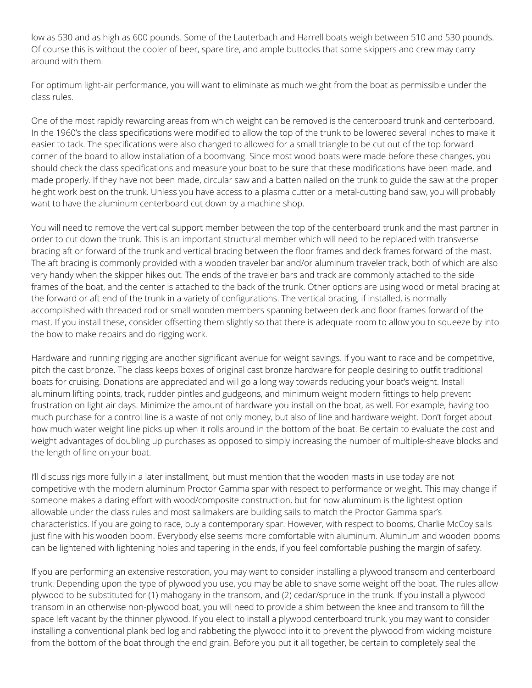low as 530 and as high as 600 pounds. Some of the Lauterbach and Harrell boats weigh between 510 and 530 pounds. Of course this is without the cooler of beer, spare tire, and ample buttocks that some skippers and crew may carry around with them.

For optimum light-air performance, you will want to eliminate as much weight from the boat as permissible under the class rules.

One of the most rapidly rewarding areas from which weight can be removed is the centerboard trunk and centerboard. In the 1960's the class specifications were modified to allow the top of the trunk to be lowered several inches to make it easier to tack. The specifications were also changed to allowed for a small triangle to be cut out of the top forward corner of the board to allow installation of a boomvang. Since most wood boats were made before these changes, you should check the class specifications and measure your boat to be sure that these modifications have been made, and made properly. If they have not been made, circular saw and a batten nailed on the trunk to guide the saw at the proper height work best on the trunk. Unless you have access to a plasma cutter or a metal-cutting band saw, you will probably want to have the aluminum centerboard cut down by a machine shop.

You will need to remove the vertical support member between the top of the centerboard trunk and the mast partner in order to cut down the trunk. This is an important structural member which will need to be replaced with transverse bracing aft or forward of the trunk and vertical bracing between the floor frames and deck frames forward of the mast. The aft bracing is commonly provided with a wooden traveler bar and/or aluminum traveler track, both of which are also very handy when the skipper hikes out. The ends of the traveler bars and track are commonly attached to the side frames of the boat, and the center is attached to the back of the trunk. Other options are using wood or metal bracing at the forward or aft end of the trunk in a variety of configurations. The vertical bracing, if installed, is normally accomplished with threaded rod or small wooden members spanning between deck and floor frames forward of the mast. If you install these, consider offsetting them slightly so that there is adequate room to allow you to squeeze by into the bow to make repairs and do rigging work.

Hardware and running rigging are another significant avenue for weight savings. If you want to race and be competitive, pitch the cast bronze. The class keeps boxes of original cast bronze hardware for people desiring to outfit traditional boats for cruising. Donations are appreciated and will go a long way towards reducing your boat's weight. Install aluminum lifting points, track, rudder pintles and gudgeons, and minimum weight modern fittings to help prevent frustration on light air days. Minimize the amount of hardware you install on the boat, as well. For example, having too much purchase for a control line is a waste of not only money, but also of line and hardware weight. Don't forget about how much water weight line picks up when it rolls around in the bottom of the boat. Be certain to evaluate the cost and weight advantages of doubling up purchases as opposed to simply increasing the number of multiple-sheave blocks and the length of line on your boat.

I'll discuss rigs more fully in a later installment, but must mention that the wooden masts in use today are not competitive with the modern aluminum Proctor Gamma spar with respect to performance or weight. This may change if someone makes a daring effort with wood/composite construction, but for now aluminum is the lightest option allowable under the class rules and most sailmakers are building sails to match the Proctor Gamma spar's characteristics. If you are going to race, buy a contemporary spar. However, with respect to booms, Charlie McCoy sails just fine with his wooden boom. Everybody else seems more comfortable with aluminum. Aluminum and wooden booms can be lightened with lightening holes and tapering in the ends, if you feel comfortable pushing the margin of safety.

If you are performing an extensive restoration, you may want to consider installing a plywood transom and centerboard trunk. Depending upon the type of plywood you use, you may be able to shave some weight off the boat. The rules allow plywood to be substituted for (1) mahogany in the transom, and (2) cedar/spruce in the trunk. If you install a plywood transom in an otherwise non-plywood boat, you will need to provide a shim between the knee and transom to fill the space left vacant by the thinner plywood. If you elect to install a plywood centerboard trunk, you may want to consider installing a conventional plank bed log and rabbeting the plywood into it to prevent the plywood from wicking moisture from the bottom of the boat through the end grain. Before you put it all together, be certain to completely seal the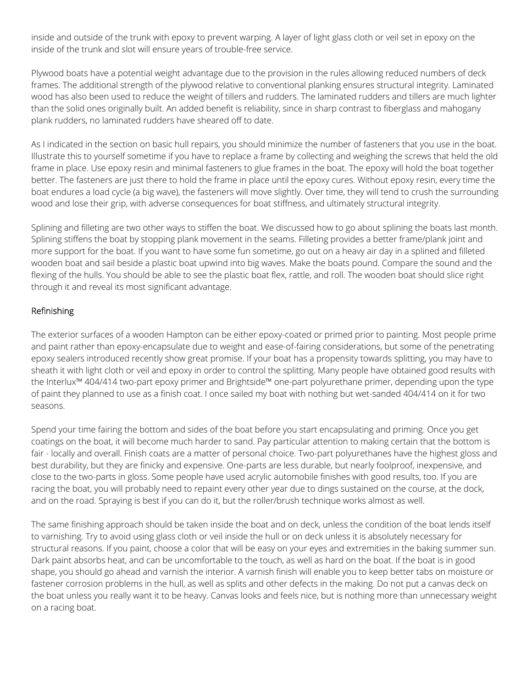inside and outside of the trunk with epoxy to prevent warping. A layer of light glass cloth or veil set in epoxy on the inside of the trunk and slot will ensure years of trouble-free service.

Plywood boats have a potential weight advantage due to the provision in the rules allowing reduced numbers of deck frames. The additional strength of the plywood relative to conventional planking ensures structural integrity. Laminated wood has also been used to reduce the weight of tillers and rudders. The laminated rudders and tillers are much lighter than the solid ones originally built. An added benefit is reliability, since in sharp contrast to fiberglass and mahogany plank rudders, no laminated rudders have sheared off to date.

As I indicated in the section on basic hull repairs, you should minimize the number of fasteners that you use in the boat. Illustrate this to yourself sometime if you have to replace a frame by collecting and weighing the screws that held the old frame in place. Use epoxy resin and minimal fasteners to glue frames in the boat. The epoxy will hold the boat together better. The fasteners are just there to hold the frame in place until the epoxy cures. Without epoxy resin, every time the boat endures a load cycle (a big wave), the fasteners will move slightly. Over time, they will tend to crush the surrounding wood and lose their grip, with adverse consequences for boat stiffness, and ultimately structural integrity.

Splining and filleting are two other ways to stiffen the boat. We discussed how to go about splining the boats last month. Splining stiffens the boat by stopping plank movement in the seams. Filleting provides a better frame/plank joint and more support for the boat. If you want to have some fun sometime, go out on a heavy air day in a splined and filleted wooden boat and sail beside a plastic boat upwind into big waves. Make the boats pound. Compare the sound and the flexing of the hulls. You should be able to see the plastic boat flex, rattle, and roll. The wooden boat should slice right through it and reveal its most significant advantage.

## Refinishing

The exterior surfaces of a wooden Hampton can be either epoxy-coated or primed prior to painting. Most people prime and paint rather than epoxy-encapsulate due to weight and ease-of-fairing considerations, but some of the penetrating epoxy sealers introduced recently show great promise. If your boat has a propensity towards splitting, you may have to sheath it with light cloth or veil and epoxy in order to control the splitting. Many people have obtained good results with the Interlux™ 404/414 two-part epoxy primer and Brightside™ one-part polyurethane primer, depending upon the type of paint they planned to use as a finish coat. I once sailed my boat with nothing but wet-sanded 404/414 on it for two seasons.

Spend your time fairing the bottom and sides of the boat before you start encapsulating and priming. Once you get coatings on the boat, it will become much harder to sand. Pay particular attention to making certain that the bottom is fair - locally and overall. Finish coats are a matter of personal choice. Two-part polyurethanes have the highest gloss and best durability, but they are finicky and expensive. One-parts are less durable, but nearly foolproof, inexpensive, and close to the two-parts in gloss. Some people have used acrylic automobile finishes with good results, too. If you are racing the boat, you will probably need to repaint every other year due to dings sustained on the course, at the dock, and on the road. Spraying is best if you can do it, but the roller/brush technique works almost as well.

The same finishing approach should be taken inside the boat and on deck, unless the condition of the boat lends itself to varnishing. Try to avoid using glass cloth or veil inside the hull or on deck unless it is absolutely necessary for structural reasons. If you paint, choose a color that will be easy on your eyes and extremities in the baking summer sun. Dark paint absorbs heat, and can be uncomfortable to the touch, as well as hard on the boat. If the boat is in good shape, you should go ahead and varnish the interior. A varnish finish will enable you to keep better tabs on moisture or fastener corrosion problems in the hull, as well as splits and other defects in the making. Do not put a canvas deck on the boat unless you really want it to be heavy. Canvas looks and feels nice, but is nothing more than unnecessary weight on a racing boat.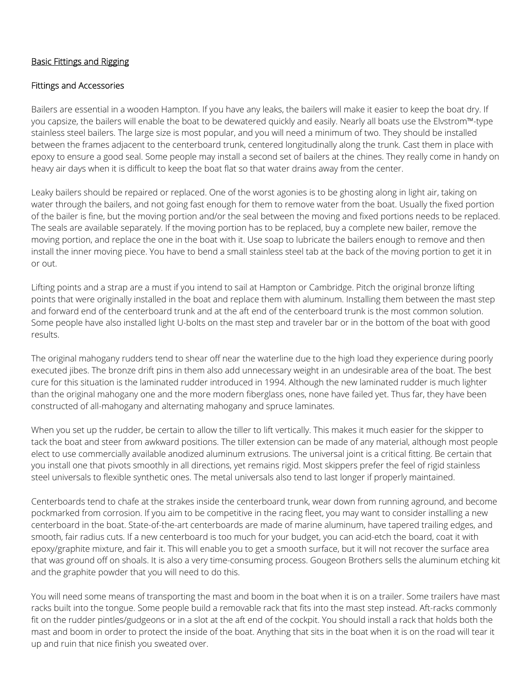### Basic Fittings and Rigging

#### Fittings and Accessories

Bailers are essential in a wooden Hampton. If you have any leaks, the bailers will make it easier to keep the boat dry. If you capsize, the bailers will enable the boat to be dewatered quickly and easily. Nearly all boats use the Elvstrom™-type stainless steel bailers. The large size is most popular, and you will need a minimum of two. They should be installed between the frames adjacent to the centerboard trunk, centered longitudinally along the trunk. Cast them in place with epoxy to ensure a good seal. Some people may install a second set of bailers at the chines. They really come in handy on heavy air days when it is difficult to keep the boat flat so that water drains away from the center.

Leaky bailers should be repaired or replaced. One of the worst agonies is to be ghosting along in light air, taking on water through the bailers, and not going fast enough for them to remove water from the boat. Usually the fixed portion of the bailer is fine, but the moving portion and/or the seal between the moving and fixed portions needs to be replaced. The seals are available separately. If the moving portion has to be replaced, buy a complete new bailer, remove the moving portion, and replace the one in the boat with it. Use soap to lubricate the bailers enough to remove and then install the inner moving piece. You have to bend a small stainless steel tab at the back of the moving portion to get it in or out.

Lifting points and a strap are a must if you intend to sail at Hampton or Cambridge. Pitch the original bronze lifting points that were originally installed in the boat and replace them with aluminum. Installing them between the mast step and forward end of the centerboard trunk and at the aft end of the centerboard trunk is the most common solution. Some people have also installed light U-bolts on the mast step and traveler bar or in the bottom of the boat with good results.

The original mahogany rudders tend to shear off near the waterline due to the high load they experience during poorly executed jibes. The bronze drift pins in them also add unnecessary weight in an undesirable area of the boat. The best cure for this situation is the laminated rudder introduced in 1994. Although the new laminated rudder is much lighter than the original mahogany one and the more modern fiberglass ones, none have failed yet. Thus far, they have been constructed of all-mahogany and alternating mahogany and spruce laminates.

When you set up the rudder, be certain to allow the tiller to lift vertically. This makes it much easier for the skipper to tack the boat and steer from awkward positions. The tiller extension can be made of any material, although most people elect to use commercially available anodized aluminum extrusions. The universal joint is a critical fitting. Be certain that you install one that pivots smoothly in all directions, yet remains rigid. Most skippers prefer the feel of rigid stainless steel universals to flexible synthetic ones. The metal universals also tend to last longer if properly maintained.

Centerboards tend to chafe at the strakes inside the centerboard trunk, wear down from running aground, and become pockmarked from corrosion. If you aim to be competitive in the racing fleet, you may want to consider installing a new centerboard in the boat. State-of-the-art centerboards are made of marine aluminum, have tapered trailing edges, and smooth, fair radius cuts. If a new centerboard is too much for your budget, you can acid-etch the board, coat it with epoxy/graphite mixture, and fair it. This will enable you to get a smooth surface, but it will not recover the surface area that was ground off on shoals. It is also a very time-consuming process. Gougeon Brothers sells the aluminum etching kit and the graphite powder that you will need to do this.

You will need some means of transporting the mast and boom in the boat when it is on a trailer. Some trailers have mast racks built into the tongue. Some people build a removable rack that fits into the mast step instead. Aft-racks commonly fit on the rudder pintles/gudgeons or in a slot at the aft end of the cockpit. You should install a rack that holds both the mast and boom in order to protect the inside of the boat. Anything that sits in the boat when it is on the road will tear it up and ruin that nice finish you sweated over.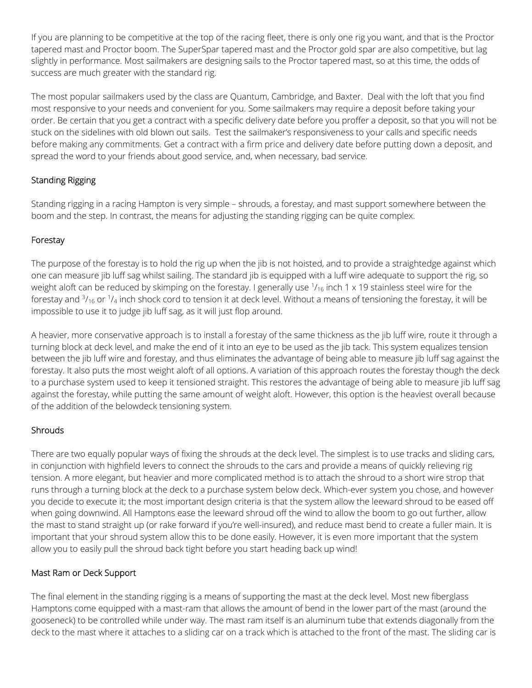If you are planning to be competitive at the top of the racing fleet, there is only one rig you want, and that is the Proctor tapered mast and Proctor boom. The SuperSpar tapered mast and the Proctor gold spar are also competitive, but lag slightly in performance. Most sailmakers are designing sails to the Proctor tapered mast, so at this time, the odds of success are much greater with the standard rig.

The most popular sailmakers used by the class are Quantum, Cambridge, and Baxter. Deal with the loft that you find most responsive to your needs and convenient for you. Some sailmakers may require a deposit before taking your order. Be certain that you get a contract with a specific delivery date before you proffer a deposit, so that you will not be stuck on the sidelines with old blown out sails. Test the sailmaker's responsiveness to your calls and specific needs before making any commitments. Get a contract with a firm price and delivery date before putting down a deposit, and spread the word to your friends about good service, and, when necessary, bad service.

## Standing Rigging

Standing rigging in a racing Hampton is very simple – shrouds, a forestay, and mast support somewhere between the boom and the step. In contrast, the means for adjusting the standing rigging can be quite complex.

## Forestay

The purpose of the forestay is to hold the rig up when the jib is not hoisted, and to provide a straightedge against which one can measure jib luff sag whilst sailing. The standard jib is equipped with a luff wire adequate to support the rig, so weight aloft can be reduced by skimping on the forestay. I generally use  $\frac{1}{16}$  inch 1 x 19 stainless steel wire for the forestay and  $\frac{3}{16}$  or  $\frac{1}{4}$  inch shock cord to tension it at deck level. Without a means of tensioning the forestay, it will be impossible to use it to judge jib luff sag, as it will just flop around.

A heavier, more conservative approach is to install a forestay of the same thickness as the jib luff wire, route it through a turning block at deck level, and make the end of it into an eye to be used as the jib tack. This system equalizes tension between the jib luff wire and forestay, and thus eliminates the advantage of being able to measure jib luff sag against the forestay. It also puts the most weight aloft of all options. A variation of this approach routes the forestay though the deck to a purchase system used to keep it tensioned straight. This restores the advantage of being able to measure jib luff sag against the forestay, while putting the same amount of weight aloft. However, this option is the heaviest overall because of the addition of the belowdeck tensioning system.

## **Shrouds**

There are two equally popular ways of fixing the shrouds at the deck level. The simplest is to use tracks and sliding cars, in conjunction with highfield levers to connect the shrouds to the cars and provide a means of quickly relieving rig tension. A more elegant, but heavier and more complicated method is to attach the shroud to a short wire strop that runs through a turning block at the deck to a purchase system below deck. Which-ever system you chose, and however you decide to execute it; the most important design criteria is that the system allow the leeward shroud to be eased off when going downwind. All Hamptons ease the leeward shroud off the wind to allow the boom to go out further, allow the mast to stand straight up (or rake forward if you're well-insured), and reduce mast bend to create a fuller main. It is important that your shroud system allow this to be done easily. However, it is even more important that the system allow you to easily pull the shroud back tight before you start heading back up wind!

## Mast Ram or Deck Support

The final element in the standing rigging is a means of supporting the mast at the deck level. Most new fiberglass Hamptons come equipped with a mast-ram that allows the amount of bend in the lower part of the mast (around the gooseneck) to be controlled while under way. The mast ram itself is an aluminum tube that extends diagonally from the deck to the mast where it attaches to a sliding car on a track which is attached to the front of the mast. The sliding car is